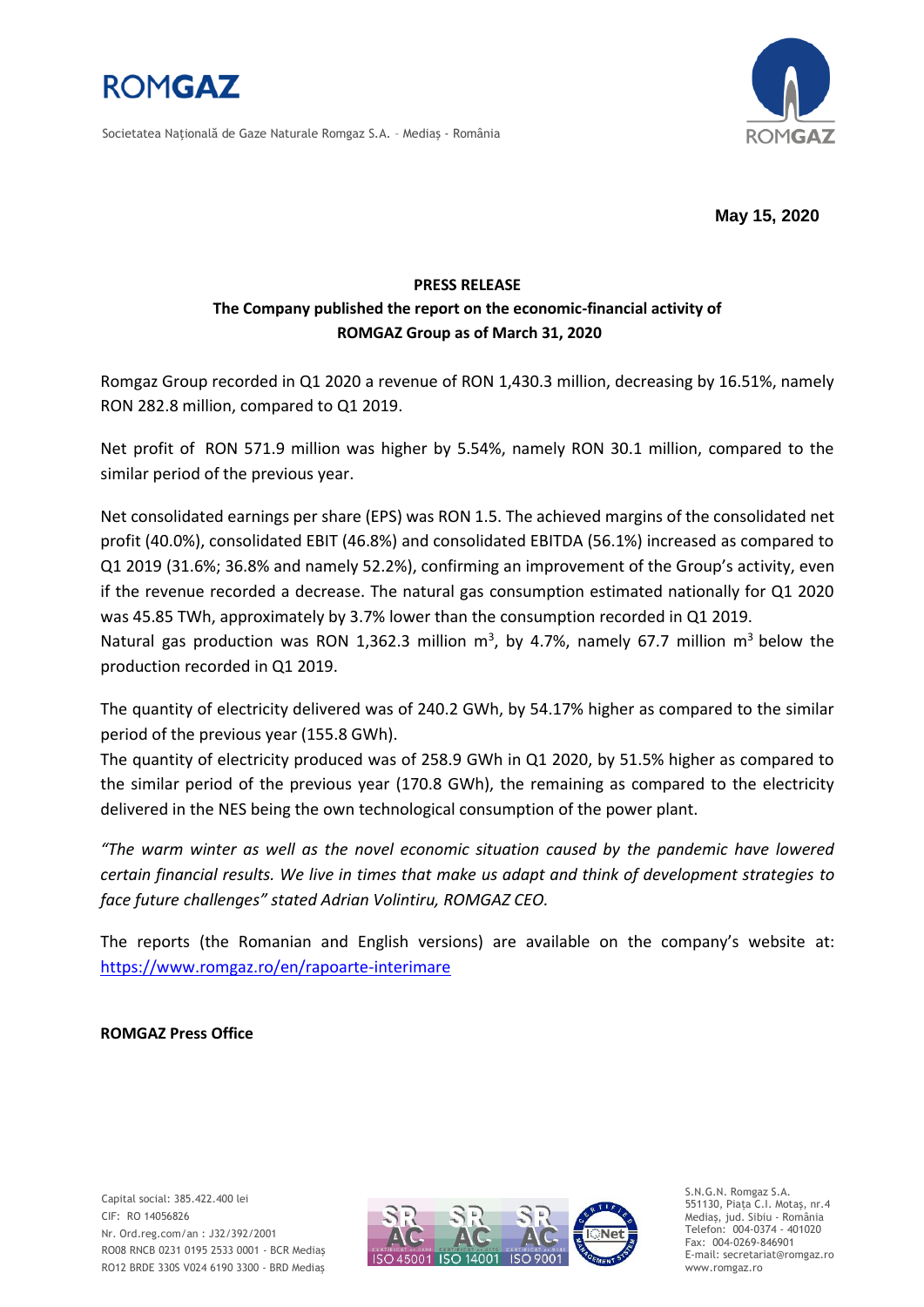

Societatea Naţională de Gaze Naturale Romgaz S.A. – Mediaş - România



**May 15, 2020**

## **PRESS RELEASE The Company published the report on the economic-financial activity of ROMGAZ Group as of March 31, 2020**

Romgaz Group recorded in Q1 2020 a revenue of RON 1,430.3 million, decreasing by 16.51%, namely RON 282.8 million, compared to Q1 2019.

Net profit of RON 571.9 million was higher by 5.54%, namely RON 30.1 million, compared to the similar period of the previous year.

Net consolidated earnings per share (EPS) was RON 1.5. The achieved margins of the consolidated net profit (40.0%), consolidated EBIT (46.8%) and consolidated EBITDA (56.1%) increased as compared to Q1 2019 (31.6%; 36.8% and namely 52.2%), confirming an improvement of the Group's activity, even if the revenue recorded a decrease. The natural gas consumption estimated nationally for Q1 2020 was 45.85 TWh, approximately by 3.7% lower than the consumption recorded in Q1 2019.

Natural gas production was RON 1,362.3 million  $m^3$ , by 4.7%, namely 67.7 million  $m^3$  below the production recorded in Q1 2019.

The quantity of electricity delivered was of 240.2 GWh, by 54.17% higher as compared to the similar period of the previous year (155.8 GWh).

The quantity of electricity produced was of 258.9 GWh in Q1 2020, by 51.5% higher as compared to the similar period of the previous year (170.8 GWh), the remaining as compared to the electricity delivered in the NES being the own technological consumption of the power plant.

*"The warm winter as well as the novel economic situation caused by the pandemic have lowered certain financial results. We live in times that make us adapt and think of development strategies to face future challenges" stated Adrian Volintiru, ROMGAZ CEO.*

The reports (the Romanian and English versions) are available on the company's website at: <https://www.romgaz.ro/en/rapoarte-interimare>

**ROMGAZ Press Office**

Capital social: 385.422.400 lei CIF: RO 14056826 Nr. Ord.reg.com/an : J32/392/2001 RO08 RNCB 0231 0195 2533 0001 - BCR Mediaş RO12 BRDE 330S V024 6190 3300 - BRD Mediaş



S.N.G.N. Romgaz S.A. 551130, Piața C.I. Motaş, nr.4 Mediaş, jud. Sibiu - România Telefon: 004-0374 - 401020 Fax: 004-0269-846901 E-mail: secretariat@romgaz.ro www.romgaz.ro